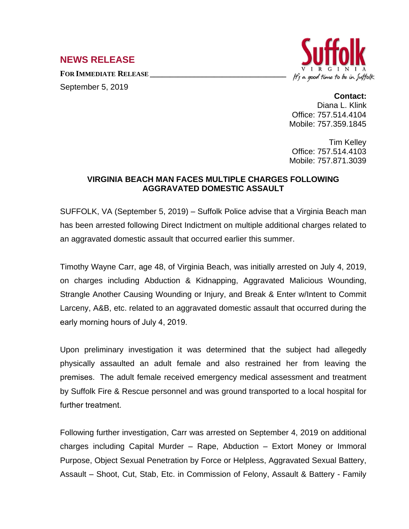## **NEWS RELEASE**

**FOR IMMEDIATE RELEASE \_\_\_\_\_\_\_\_\_\_\_\_\_\_\_\_\_\_\_\_\_\_\_\_\_\_\_\_\_\_\_\_\_\_** September 5, 2019



## **Contact:**

Diana L. Klink Office: 757.514.4104 Mobile: 757.359.1845

Tim Kelley Office: 757.514.4103 Mobile: 757.871.3039

## **VIRGINIA BEACH MAN FACES MULTIPLE CHARGES FOLLOWING AGGRAVATED DOMESTIC ASSAULT**

SUFFOLK, VA (September 5, 2019) – Suffolk Police advise that a Virginia Beach man has been arrested following Direct Indictment on multiple additional charges related to an aggravated domestic assault that occurred earlier this summer.

Timothy Wayne Carr, age 48, of Virginia Beach, was initially arrested on July 4, 2019, on charges including Abduction & Kidnapping, Aggravated Malicious Wounding, Strangle Another Causing Wounding or Injury, and Break & Enter w/Intent to Commit Larceny, A&B, etc. related to an aggravated domestic assault that occurred during the early morning hours of July 4, 2019.

Upon preliminary investigation it was determined that the subject had allegedly physically assaulted an adult female and also restrained her from leaving the premises. The adult female received emergency medical assessment and treatment by Suffolk Fire & Rescue personnel and was ground transported to a local hospital for further treatment.

Following further investigation, Carr was arrested on September 4, 2019 on additional charges including Capital Murder – Rape, Abduction – Extort Money or Immoral Purpose, Object Sexual Penetration by Force or Helpless, Aggravated Sexual Battery, Assault – Shoot, Cut, Stab, Etc. in Commission of Felony, Assault & Battery - Family